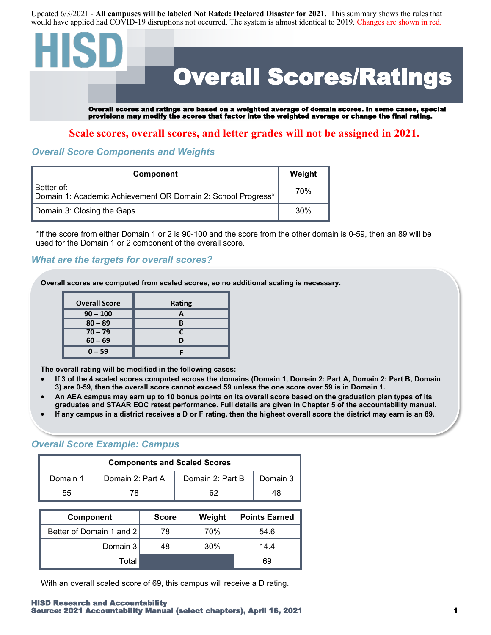Updated 6/3/2021 - **All campuses will be labeled Not Rated: Declared Disaster for 2021.** This summary shows the rules that would have applied had COVID-19 disruptions not occurred. The system is almost identical to 2019. Changes are shown in red.

# Overall Scores/Ratings Overall scores and ratings are based on a weighted average of domain scores. In some cases, special provisions may modify the scores that factor into the weighted average or change the final rating.

**Scale scores, overall scores, and letter grades will not be assigned in 2021.**

### *Overall Score Components and Weights*

| Component                                                                   | Weight          |
|-----------------------------------------------------------------------------|-----------------|
| 'Better of:<br>Domain 1: Academic Achievement OR Domain 2: School Progress* | 70%             |
| Domain 3: Closing the Gaps                                                  | 30 <sup>%</sup> |

\*If the score from either Domain 1 or 2 is 90-100 and the score from the other domain is 0-59, then an 89 will be used for the Domain 1 or 2 component of the overall score.

#### *What are the targets for overall scores?*

**Overall scores are computed from scaled scores, so no additional scaling is necessary.** 

| <b>Overall Score</b> | Rating |
|----------------------|--------|
| $90 - 100$           |        |
| $80 - 89$            |        |
| $70 - 79$            |        |
| $60 - 69$            |        |
| $0 - 59$             |        |

**The overall rating will be modified in the following cases:**

- **If 3 of the 4 scaled scores computed across the domains (Domain 1, Domain 2: Part A, Domain 2: Part B, Domain 3) are 0-59, then the overall score cannot exceed 59 unless the one score over 59 is in Domain 1.**
- **An AEA campus may earn up to 10 bonus points on its overall score based on the graduation plan types of its graduates and STAAR EOC retest performance. Full details are given in Chapter 5 of the accountability manual.**
- **If any campus in a district receives a D or F rating, then the highest overall score the district may earn is an 89.**

#### *Overall Score Example: Campus*

| <b>Components and Scaled Scores</b> |                  |                  |          |
|-------------------------------------|------------------|------------------|----------|
| Domain 1                            | Domain 2: Part A | Domain 2: Part B | Domain 3 |
| 55                                  |                  |                  |          |

| <b>Component</b>         | <b>Score</b> | Weight | <b>Points Earned</b> |
|--------------------------|--------------|--------|----------------------|
| Better of Domain 1 and 2 | 78           | 70%    | 54.6                 |
| Domain 3                 | 48           | 30%    | 14.4                 |
| Total                    |              |        | 69                   |

With an overall scaled score of 69, this campus will receive a D rating.